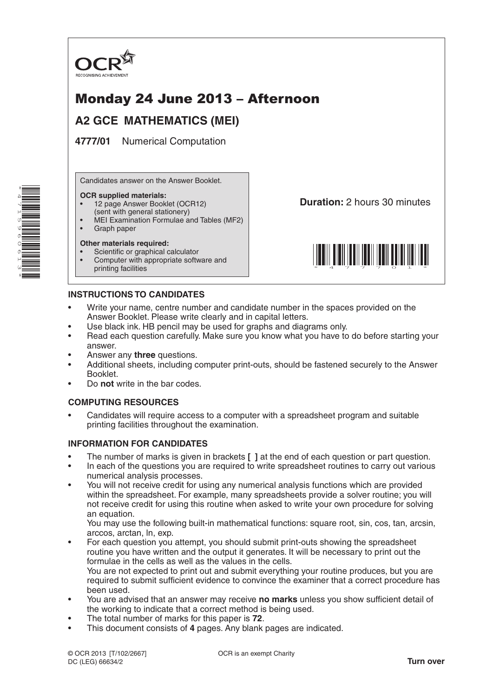

# Monday 24 June 2013 – Afternoon

## **A2 GCE MATHEMATICS (MEI)**

**4777/01** Numerical Computation

Candidates answer on the Answer Booklet.

#### **OCR supplied materials:**

- 12 page Answer Booklet (OCR12)
- (sent with general stationery)
- MEI Examination Formulae and Tables (MF2)
- Graph paper

#### **Other materials required:**

- Scientific or graphical calculator
- Computer with appropriate software and printing facilities

**Duration:** 2 hours 30 minutes



### **INSTRUCTIONS TO CANDIDATES**

- Write your name, centre number and candidate number in the spaces provided on the Answer Booklet. Please write clearly and in capital letters.
- Use black ink. HB pencil may be used for graphs and diagrams only.
- Read each question carefully. Make sure you know what you have to do before starting your answer.
- Answer any **three** questions.
- Additional sheets, including computer print-outs, should be fastened securely to the Answer Booklet.
- Do **not** write in the bar codes.

### **COMPUTING RESOURCES**

• Candidates will require access to a computer with a spreadsheet program and suitable printing facilities throughout the examination.

### **INFORMATION FOR CANDIDATES**

- The number of marks is given in brackets **[ ]** at the end of each question or part question.
- In each of the questions you are required to write spreadsheet routines to carry out various numerical analysis processes.
- You will not receive credit for using any numerical analysis functions which are provided within the spreadsheet. For example, many spreadsheets provide a solver routine; you will not receive credit for using this routine when asked to write your own procedure for solving an equation.

 You may use the following built-in mathematical functions: square root, sin, cos, tan, arcsin, arccos, arctan, ln, exp.

• For each question you attempt, you should submit print-outs showing the spreadsheet routine you have written and the output it generates. It will be necessary to print out the formulae in the cells as well as the values in the cells.

 You are not expected to print out and submit everything your routine produces, but you are required to submit sufficient evidence to convince the examiner that a correct procedure has been used.

- You are advised that an answer may receive **no marks** unless you show sufficient detail of the working to indicate that a correct method is being used.
- The total number of marks for this paper is **72**.
- This document consists of **4** pages. Any blank pages are indicated.

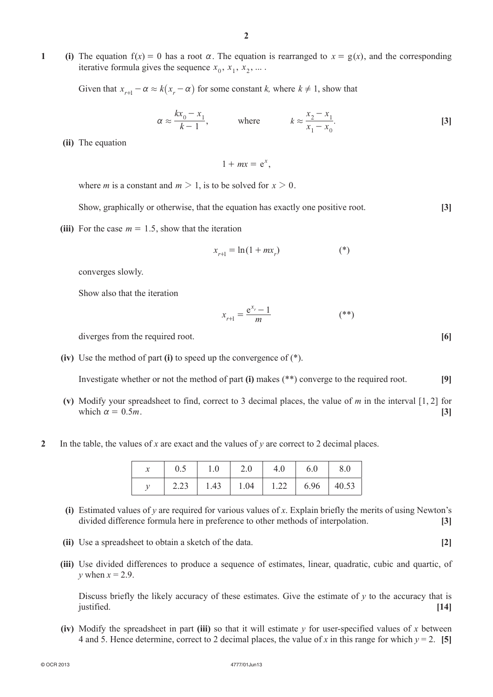**1** (i) The equation  $f(x) = 0$  has a root  $\alpha$ . The equation is rearranged to  $x = g(x)$ , and the corresponding iterative formula gives the sequence  $x_0, x_1, x_2, ...$ .

Given that  $x_{r+1} - \alpha \approx k(x_r - \alpha)$  for some constant *k*, where  $k \neq 1$ , show that

$$
\alpha \approx \frac{kx_0 - x_1}{k - 1}, \qquad \text{where} \qquad k \approx \frac{x_2 - x_1}{x_1 - x_0}.
$$
 [3]

**(ii)** The equation

$$
1 + mx = e^x,
$$

where *m* is a constant and  $m > 1$ , is to be solved for  $x > 0$ .

Show, graphically or otherwise, that the equation has exactly one positive root. **[3]** 

**(iii)** For the case  $m = 1.5$ , show that the iteration

$$
x_{r+1} = \ln(1 + mx_r)
$$
 (\*)

converges slowly.

**Show also that the iteration** 

$$
x_{r+1} = \frac{e^{x_r} - 1}{m} \tag{**}
$$

diverges from the required root. **[6]** *C* 

**(iv)** Use the method of part **(i)** to speed up the convergence of  $(*)$ .

Investigate whether or not the method of part **(i)** makes (\*\*) converge to the required root. **[9]** 

- **(v)** Modify your spreadsheet to find, correct to 3 decimal places, the value of *m* in the interval  $[1, 2]$  for which  $\alpha = 0.5m$ . **[3]**
- **2**  In the table, the values of *x* are exact and the values of *y* are correct to 2 decimal places.

| 0.5 | 1.0 | 2.0 | 4.0                                      | 6.0 | 8.0 |
|-----|-----|-----|------------------------------------------|-----|-----|
|     |     |     | 2.23   1.43   1.04   1.22   6.96   40.53 |     |     |

- **(i)** Estimated values of  $\gamma$  are required for various values of  $x$ . Explain briefly the merits of using Newton's divided difference formula here in preference to other methods of interpolation. **[3]**
- **(ii)** Use a spreadsheet to obtain a sketch of the data. **[2]**
- **(iii)** Use divided differences to produce a sequence of estimates, linear, quadratic, cubic and quartic, of *y* when *x* = 2.9.

Discuss briefly the likely accuracy of these estimates. Give the estimate of *y* to the accuracy that is justified. **[14]**

**(iv)** Modify the spreadsheet in part **(iii)** so that it will estimate  $y$  for user-specified values of  $x$  between 4 and 5. Hence determine, correct to 2 decimal places, the value of *x* in this range for which  $y = 2$ . [5]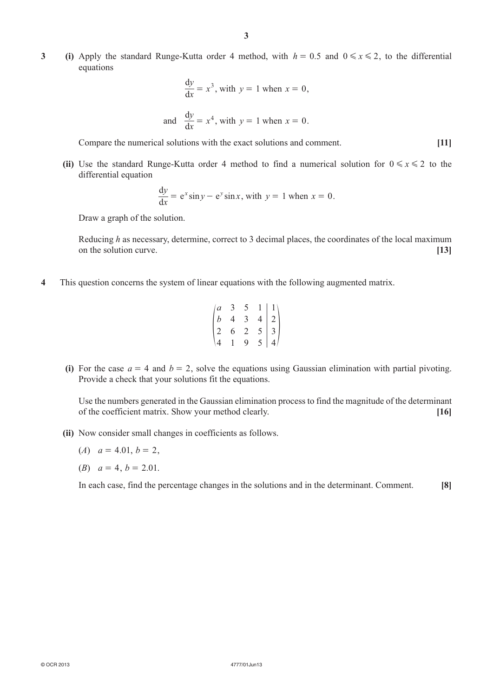**3** (i) Apply the standard Runge-Kutta order 4 method, with  $h = 0.5$  and  $0 \le x \le 2$ , to the differential equations

$$
\frac{dy}{dx} = x^3, \text{ with } y = 1 \text{ when } x = 0,
$$
  
and 
$$
\frac{dy}{dx} = x^4, \text{ with } y = 1 \text{ when } x = 0.
$$

Compare the numerical solutions with the exact solutions and comment. **[11]** 

**(ii)** Use the standard Runge-Kutta order 4 method to find a numerical solution for  $0 \le x \le 2$  to the differential equation

$$
\frac{dy}{dx} = e^x \sin y - e^y \sin x
$$
, with  $y = 1$  when  $x = 0$ .

Draw a graph of the solution.

Reducing *h* as necessary, determine, correct to 3 decimal places, the coordinates of the local maximum on the solution curve. **[13]**

**4**  This question concerns the system of linear equations with the following augmented matrix.

$$
\begin{pmatrix} a & 3 & 5 & 1 & 1 \ b & 4 & 3 & 4 & 2 \ 2 & 6 & 2 & 5 & 3 \ 4 & 1 & 9 & 5 & 4 \ \end{pmatrix}
$$

**(i)** For the case  $a = 4$  and  $b = 2$ , solve the equations using Gaussian elimination with partial pivoting. Provide a check that your solutions fit the equations.

Use the numbers generated in the Gaussian elimination process to find the magnitude of the determinant of the coefficient matrix. Show your method clearly. **[16]**

- **(ii)** Now consider small changes in coefficients as follows.
	- $(A)$   $a = 4.01, b = 2,$
	- $(B)$   $a = 4, b = 2.01$ .

 In each case, find the percentage changes in the solutions and in the determinant. Comment. **[8]**